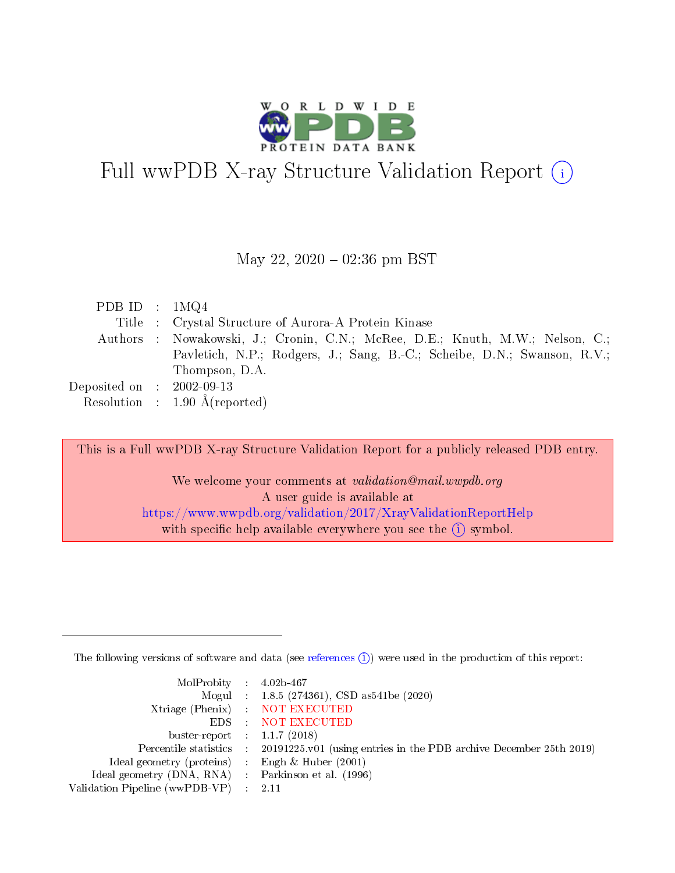

# Full wwPDB X-ray Structure Validation Report  $(i)$

#### May 22,  $2020 - 02:36$  pm BST

| PDB ID : $1MQ4$             |                                                                               |
|-----------------------------|-------------------------------------------------------------------------------|
|                             | Title : Crystal Structure of Aurora-A Protein Kinase                          |
|                             | Authors : Nowakowski, J.; Cronin, C.N.; McRee, D.E.; Knuth, M.W.; Nelson, C.; |
|                             | Payletich, N.P.; Rodgers, J.; Sang, B.-C.; Scheibe, D.N.; Swanson, R.V.;      |
|                             | Thompson, D.A.                                                                |
| Deposited on : $2002-09-13$ |                                                                               |
|                             | Resolution : $1.90 \text{ Å}$ (reported)                                      |

This is a Full wwPDB X-ray Structure Validation Report for a publicly released PDB entry.

We welcome your comments at validation@mail.wwpdb.org A user guide is available at <https://www.wwpdb.org/validation/2017/XrayValidationReportHelp> with specific help available everywhere you see the  $(i)$  symbol.

The following versions of software and data (see [references](https://www.wwpdb.org/validation/2017/XrayValidationReportHelp#references)  $(i)$ ) were used in the production of this report:

| MolProbity : $4.02b-467$                            |                                                                                            |
|-----------------------------------------------------|--------------------------------------------------------------------------------------------|
|                                                     | Mogul : 1.8.5 (274361), CSD as541be (2020)                                                 |
|                                                     | Xtriage (Phenix) NOT EXECUTED                                                              |
|                                                     | EDS : NOT EXECUTED                                                                         |
| buster-report : $1.1.7(2018)$                       |                                                                                            |
|                                                     | Percentile statistics : 20191225.v01 (using entries in the PDB archive December 25th 2019) |
| Ideal geometry (proteins) : Engh $\&$ Huber (2001)  |                                                                                            |
| Ideal geometry (DNA, RNA) : Parkinson et al. (1996) |                                                                                            |
| Validation Pipeline (wwPDB-VP) : 2.11               |                                                                                            |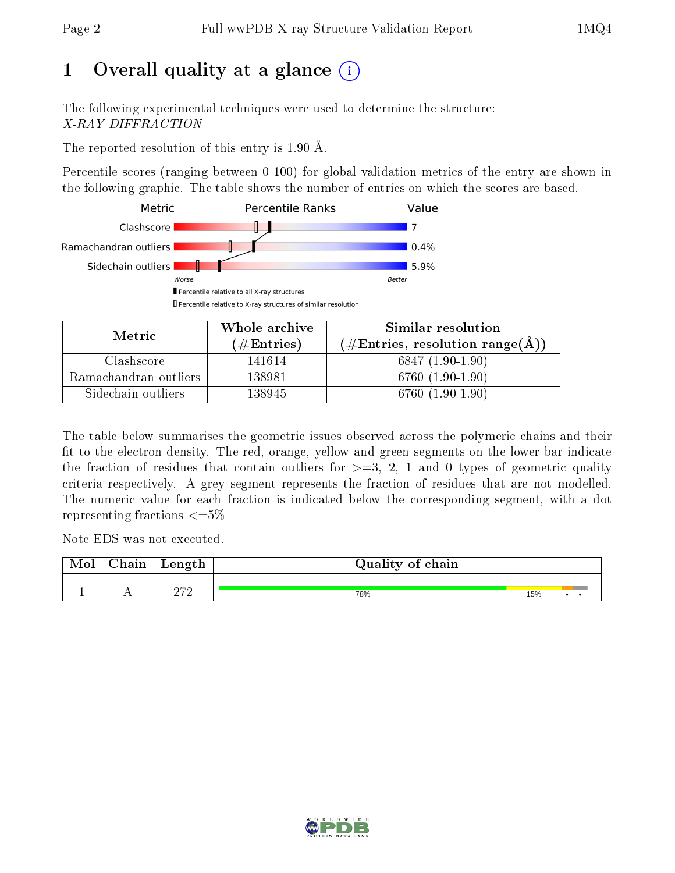# 1 [O](https://www.wwpdb.org/validation/2017/XrayValidationReportHelp#overall_quality)verall quality at a glance  $(i)$

The following experimental techniques were used to determine the structure: X-RAY DIFFRACTION

The reported resolution of this entry is 1.90 Å.

Percentile scores (ranging between 0-100) for global validation metrics of the entry are shown in the following graphic. The table shows the number of entries on which the scores are based.



| Metric                | Whole archive<br>$(\#\text{Entries})$ | Similar resolution<br>$(\#\text{Entries}, \text{resolution range}(\text{\AA})\)$ |
|-----------------------|---------------------------------------|----------------------------------------------------------------------------------|
| Clashscore            | 141614                                | $6847(1.90-1.90)$                                                                |
| Ramachandran outliers | 138981                                | 6760 (1.90-1.90)                                                                 |
| Sidechain outliers    | 138945                                | 6760 (1.90-1.90)                                                                 |

The table below summarises the geometric issues observed across the polymeric chains and their fit to the electron density. The red, orange, yellow and green segments on the lower bar indicate the fraction of residues that contain outliers for  $\geq=3$ , 2, 1 and 0 types of geometric quality criteria respectively. A grey segment represents the fraction of residues that are not modelled. The numeric value for each fraction is indicated below the corresponding segment, with a dot representing fractions  $\leq=5\%$ 

Note EDS was not executed.

| Mol | hain | Length | Quality of chain |     |  |  |  |  |
|-----|------|--------|------------------|-----|--|--|--|--|
|     |      | ∩רח    | 78%              | 15% |  |  |  |  |

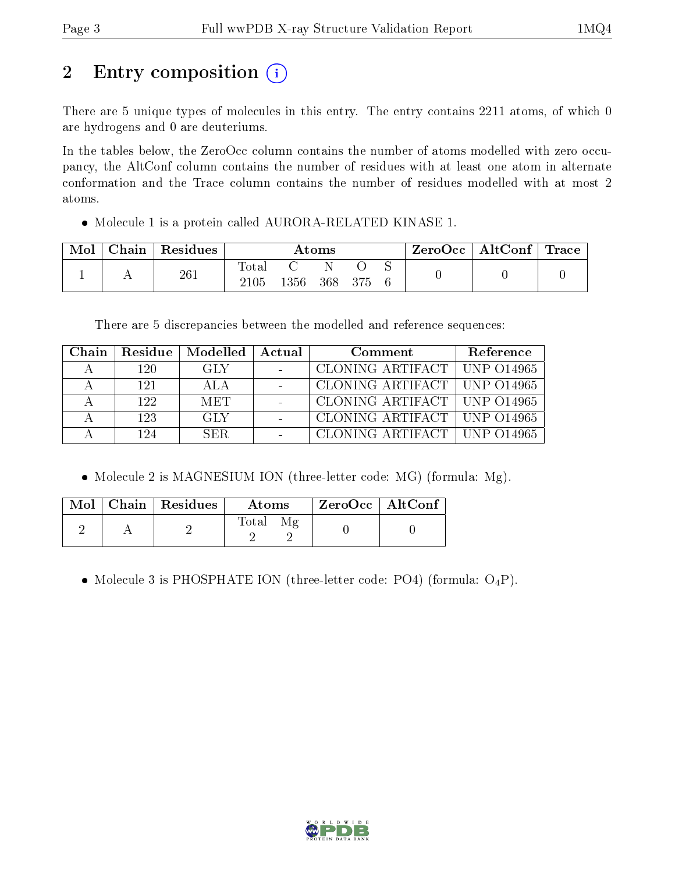# 2 Entry composition (i)

There are 5 unique types of molecules in this entry. The entry contains 2211 atoms, of which 0 are hydrogens and 0 are deuteriums.

In the tables below, the ZeroOcc column contains the number of atoms modelled with zero occupancy, the AltConf column contains the number of residues with at least one atom in alternate conformation and the Trace column contains the number of residues modelled with at most 2 atoms.

Molecule 1 is a protein called AURORA-RELATED KINASE 1.

| Mol | Chain | Residues | $\bm{\mathrm{Atoms}}$  |      |     | ZeroOcc   AltConf   Trace |  |  |  |
|-----|-------|----------|------------------------|------|-----|---------------------------|--|--|--|
|     |       | 261      | $\text{Total}$<br>2105 | 1356 | 368 | 375                       |  |  |  |

There are 5 discrepancies between the modelled and reference sequences:

| Chain | Residue | $\perp$ Modelled $\perp$ | Actual | Comment                       | Reference |
|-------|---------|--------------------------|--------|-------------------------------|-----------|
|       | 120     | GLY.                     |        | CLONING ARTIFACT   UNP 014965 |           |
|       | 191     | A L A                    |        | CLONING ARTIFACT   UNP 014965 |           |
|       | 122.    | <b>MET</b>               |        | CLONING ARTIFACT   UNP 014965 |           |
|       | 123     | GLY                      |        | CLONING ARTIFACT   UNP 014965 |           |
|       | 124     | SER.                     |        | CLONING ARTIFACT   UNP 014965 |           |

• Molecule 2 is MAGNESIUM ION (three-letter code: MG) (formula: Mg).

|  | $\text{Mol}$   Chain   Residues | Atoms.      | $\mid$ ZeroOcc $\mid$ AltConf $\mid$ |  |
|--|---------------------------------|-------------|--------------------------------------|--|
|  |                                 | $\rm Total$ |                                      |  |

• Molecule 3 is PHOSPHATE ION (three-letter code: PO4) (formula:  $O_4P$ ).

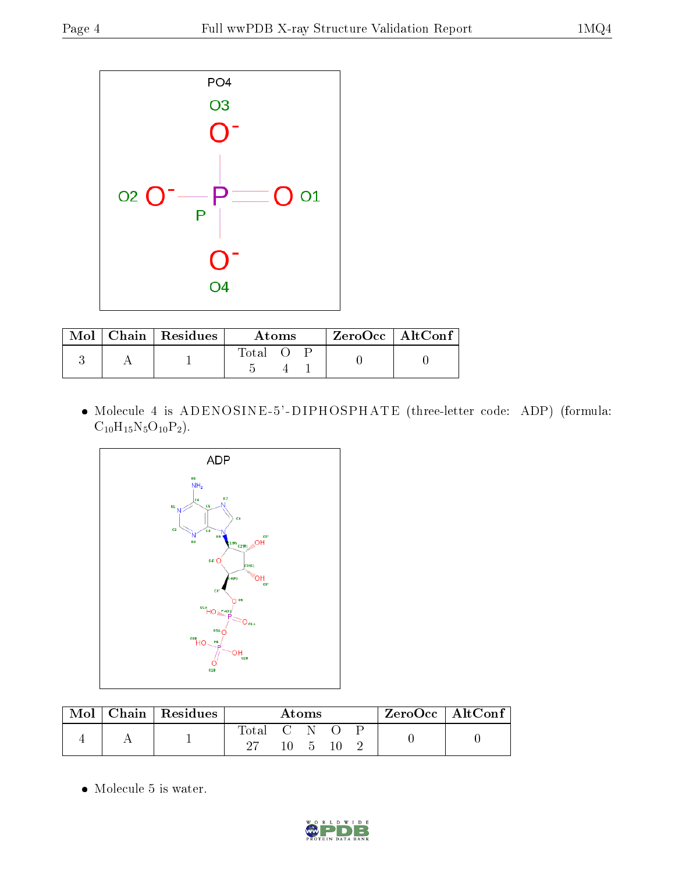

|  | $Mol$   Chain   Residues | Atoms |  |  | $ZeroOcc$   AltConf |
|--|--------------------------|-------|--|--|---------------------|
|  |                          | Total |  |  |                     |

• Molecule 4 is ADENOSINE-5'-DIPHOSPHATE (three-letter code: ADP) (formula:  $C_{10}H_{15}N_5O_{10}P_2$ .



| Mol | Chain   Residues | Atoms       |     |     |  | $ZeroOcc \   \ AltConf \  $ |  |  |
|-----|------------------|-------------|-----|-----|--|-----------------------------|--|--|
|     |                  | Total C N O | 10- | - 5 |  |                             |  |  |

• Molecule 5 is water.

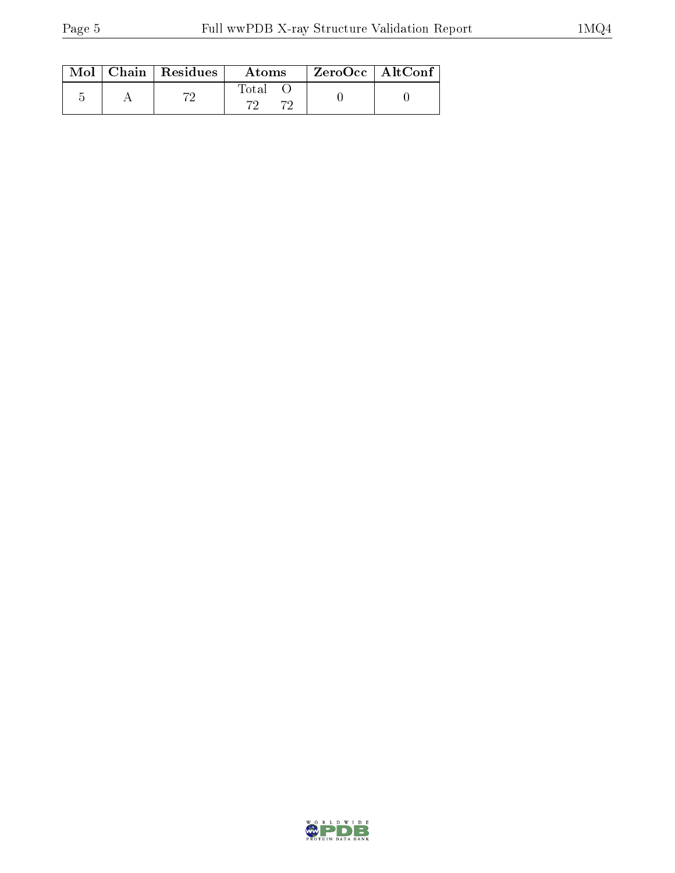|  | $Mol$   Chain   Residues | Atoms | ZeroOcc   AltConf |  |
|--|--------------------------|-------|-------------------|--|
|  | ∼ה                       | Total |                   |  |

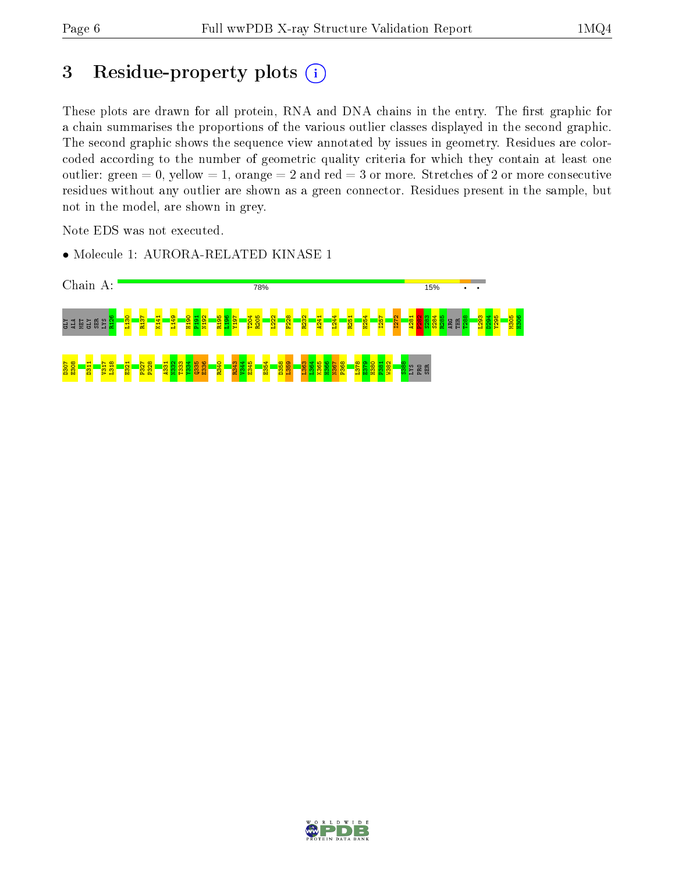# 3 Residue-property plots (i)

These plots are drawn for all protein, RNA and DNA chains in the entry. The first graphic for a chain summarises the proportions of the various outlier classes displayed in the second graphic. The second graphic shows the sequence view annotated by issues in geometry. Residues are colorcoded according to the number of geometric quality criteria for which they contain at least one outlier: green  $= 0$ , yellow  $= 1$ , orange  $= 2$  and red  $= 3$  or more. Stretches of 2 or more consecutive residues without any outlier are shown as a green connector. Residues present in the sample, but not in the model, are shown in grey.

Note EDS was not executed.

• Molecule 1: AURORA-RELATED KINASE 1



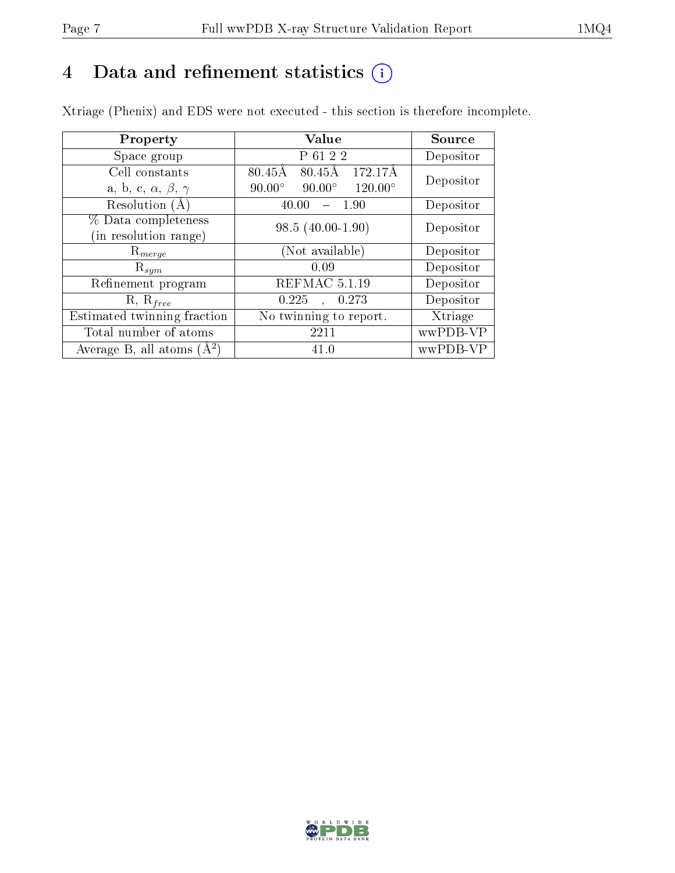## 4 Data and refinement statistics  $(i)$

Xtriage (Phenix) and EDS were not executed - this section is therefore incomplete.

| Property                               | Value                                              | Source    |  |
|----------------------------------------|----------------------------------------------------|-----------|--|
| Space group                            | P 61 2 2                                           | Depositor |  |
| Cell constants                         | $80.45\text{\AA}$<br>80.45Å<br>172.17Å             | Depositor |  |
| a, b, c, $\alpha$ , $\beta$ , $\gamma$ | $90.00^\circ$<br>$120.00^{\circ}$<br>$90.00^\circ$ |           |  |
| Resolution (A)                         | - 1.90<br>40.00                                    | Depositor |  |
| % Data completeness                    | $98.5(40.00-1.90)$                                 | Depositor |  |
| (in resolution range)                  |                                                    |           |  |
| $R_{merge}$                            | (Not available)                                    | Depositor |  |
| $\mathrm{R}_{sym}$                     | 0.09                                               | Depositor |  |
| Refinement program                     | REFMAC 5.1.19                                      | Depositor |  |
| $R, R_{free}$                          | 0.225<br>0.273                                     | Depositor |  |
| Estimated twinning fraction            | No twinning to report.                             | Xtriage   |  |
| Total number of atoms                  | 2211                                               | wwPDB-VP  |  |
| Average B, all atoms $(A^2)$           | 41.0                                               | wwPDB-VP  |  |

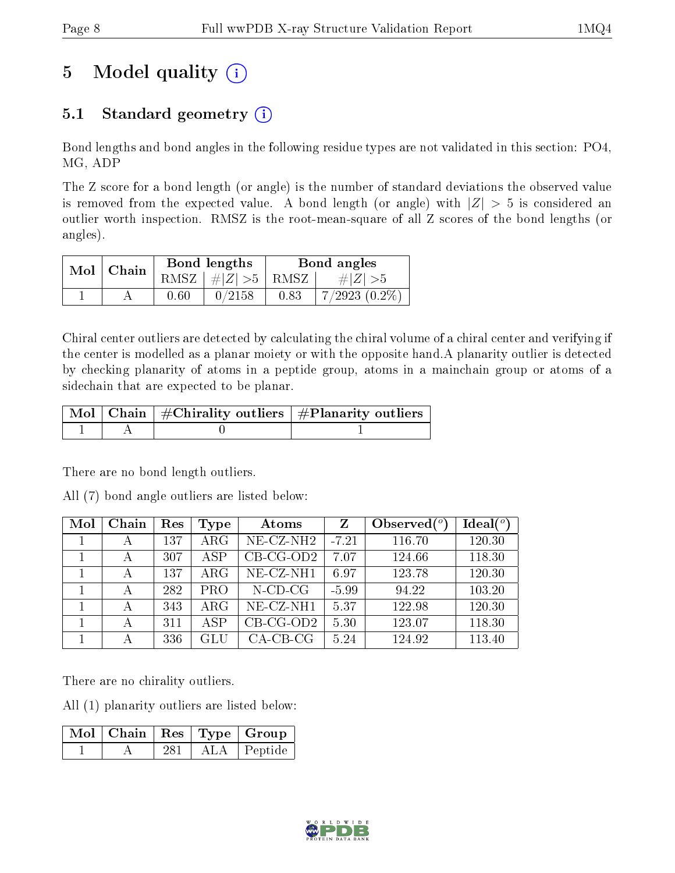# 5 Model quality  $(i)$

### 5.1 Standard geometry  $(i)$

Bond lengths and bond angles in the following residue types are not validated in this section: PO4, MG, ADP

The Z score for a bond length (or angle) is the number of standard deviations the observed value is removed from the expected value. A bond length (or angle) with  $|Z| > 5$  is considered an outlier worth inspection. RMSZ is the root-mean-square of all Z scores of the bond lengths (or angles).

| $Mol$   Chain |      | Bond lengths                            | Bond angles |                    |  |
|---------------|------|-----------------------------------------|-------------|--------------------|--|
|               |      | RMSZ $\mid \#  Z  > 5 \mid$ RMSZ $\mid$ |             | $\# Z  > 5$        |  |
|               | 0.60 | 0/2158                                  | 0.83        | $7/2923$ $(0.2\%)$ |  |

Chiral center outliers are detected by calculating the chiral volume of a chiral center and verifying if the center is modelled as a planar moiety or with the opposite hand.A planarity outlier is detected by checking planarity of atoms in a peptide group, atoms in a mainchain group or atoms of a sidechain that are expected to be planar.

|  | $\mid$ Mol $\mid$ Chain $\mid$ #Chirality outliers $\mid$ #Planarity outliers $\mid$ |
|--|--------------------------------------------------------------------------------------|
|  |                                                                                      |

There are no bond length outliers.

All (7) bond angle outliers are listed below:

| Mol | Chain | Res | Type                 | Atoms               | Ζ       | Observed $\binom{o}{c}$ | $Ideal(^o)$ |
|-----|-------|-----|----------------------|---------------------|---------|-------------------------|-------------|
|     | А     | 137 | $\rm{ARG}$           | $NE- CZ-NH2$        | $-7.21$ | 116.70                  | 120.30      |
|     | А     | 307 | ASP                  | $CB-CG-OD2$         | 7.07    | 124.66                  | 118.30      |
|     | А     | 137 | $\rm{ARG}$           | $NE$ - $CZ$ - $NH1$ | 6.97    | 123.78                  | 120.30      |
|     | А     | 282 | <b>PRO</b>           | $N$ -CD-CG          | $-5.99$ | 94.22                   | 103.20      |
|     | А     | 343 | $\rm{ARG}$           | $NE$ - $CZ$ - $NH1$ | 5.37    | 122.98                  | 120.30      |
|     | А     | 311 | ASP                  | $CB-CG-OD2$         | 5.30    | 123.07                  | 118.30      |
|     | А     | 336 | $\operatorname{GLU}$ | $CA$ -CB-CG         | 5.24    | 124.92                  | 113.40      |

There are no chirality outliers.

All (1) planarity outliers are listed below:

|  |     | $\lceil \, \text{Mol} \, \rceil$ Chain $\mid \text{Res} \mid \text{Type} \mid \text{Group}$ |
|--|-----|---------------------------------------------------------------------------------------------|
|  | 281 | ALA   Peptide                                                                               |

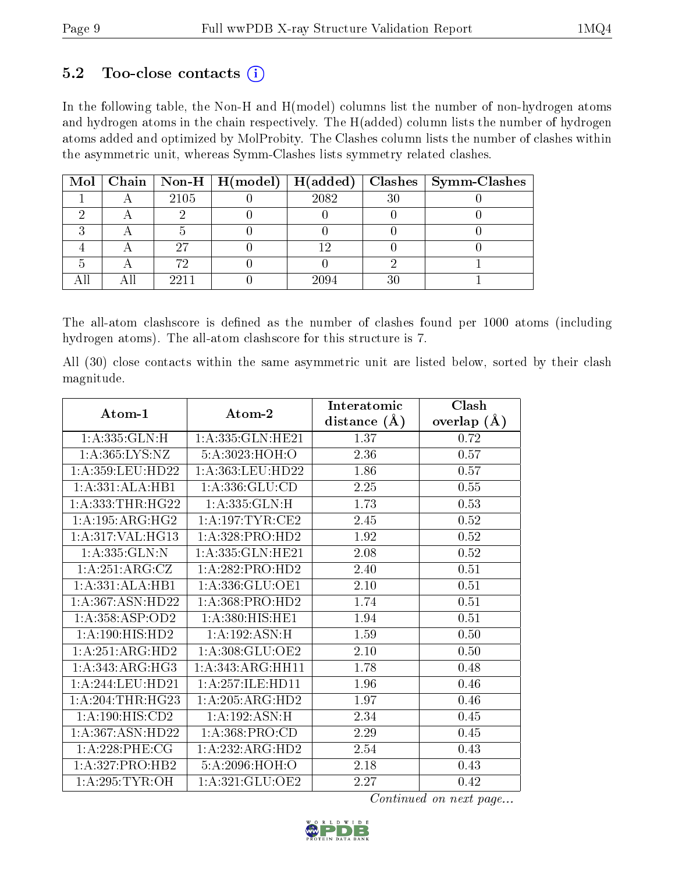#### 5.2 Too-close contacts  $(i)$

In the following table, the Non-H and H(model) columns list the number of non-hydrogen atoms and hydrogen atoms in the chain respectively. The H(added) column lists the number of hydrogen atoms added and optimized by MolProbity. The Clashes column lists the number of clashes within the asymmetric unit, whereas Symm-Clashes lists symmetry related clashes.

|  |      | Mol   Chain   Non-H   H(model)   H(added) |      |    | Clashes   Symm-Clashes |
|--|------|-------------------------------------------|------|----|------------------------|
|  | 2105 |                                           | 2082 | 30 |                        |
|  |      |                                           |      |    |                        |
|  |      |                                           |      |    |                        |
|  |      |                                           | l Q  |    |                        |
|  | 79   |                                           |      |    |                        |
|  | 2211 |                                           |      | 30 |                        |

The all-atom clashscore is defined as the number of clashes found per 1000 atoms (including hydrogen atoms). The all-atom clashscore for this structure is 7.

All (30) close contacts within the same asymmetric unit are listed below, sorted by their clash magnitude.

| Atom-1               |                              | Interatomic      | Clash           |
|----------------------|------------------------------|------------------|-----------------|
|                      | Atom-2                       | distance $(\AA)$ | overlap $(\AA)$ |
| 1: A: 335: GLN: H    | 1:A:335:GLN:HE21             | 1.37             | 0.72            |
| 1:A:365:LYS:NZ       | 5:A:3023:HOH:O               | 2.36             | 0.57            |
| 1: A:359:LEU:HD22    | 1:A:363:LEU:HD22             | 1.86             | 0.57            |
| 1:A:331:ALA:HB1      | 1:A:336:GLU:CD               | 2.25             | 0.55            |
| 1: A: 333: THR: HG22 | 1:A:335:GLN:H                | 1.73             | 0.53            |
| 1:A:195:ARG:HG2      | 1: A:197:TYR:CE2             | 2.45             | 0.52            |
| 1:A:317:VAL:HG13     | 1:A:328:PRO:HD2              | 1.92             | 0.52            |
| 1:A:335:GLN:N        | 1:A:335:GLN:HE21             | 2.08             | 0.52            |
| 1:A:251:ARG:CZ       | 1:A:282:PRO:HD2              | 2.40             | 0.51            |
| 1:A:331:ALA:HB1      | 1:A:336:GLU:OE1              | $2.10\,$         | 0.51            |
| 1: A:367: ASN:HD22   | 1:A:368:PRO:HD2              | 1.74             | 0.51            |
| 1:A:358:ASP:OD2      | 1: A:380:HIS:HE1             | 1.94             | 0.51            |
| 1:A:190:HIS:HD2      | 1:A:192:ASN:H                | 1.59             | 0.50            |
| 1: A:251: ARG:HD2    | 1:A:308:GLU:OE2              | 2.10             | 0.50            |
| 1: A: 343: ARG: HG3  | 1: A: 343: ARG: HH11         | 1.78             | 0.48            |
| 1: A:244:LEU:HD21    | 1: A: 257: ILE: HD11         | 1.96             | 0.46            |
| 1:A:204:THR:HG23     | 1:A:205:ARG:HD2              | 1.97             | 0.46            |
| 1:A:190:HIS:CD2      | 1: A:192: ASN:H              | 2.34             | 0.45            |
| 1:A:367:ASN:HD22     | 1: A: 368: PRO:CD            | 2.29             | 0.45            |
| 1: A:228:PHE:CG      | $1:A:232:ARG:H\overline{D2}$ | 2.54             | 0.43            |
| 1:A:327:PRO:HB2      | 5:A:2096:HOH:O               | 2.18             | 0.43            |
| 1: A:295:TYR:OH      | 1:A:321:GLU:OE2              | 2.27             | 0.42            |

Continued on next page...

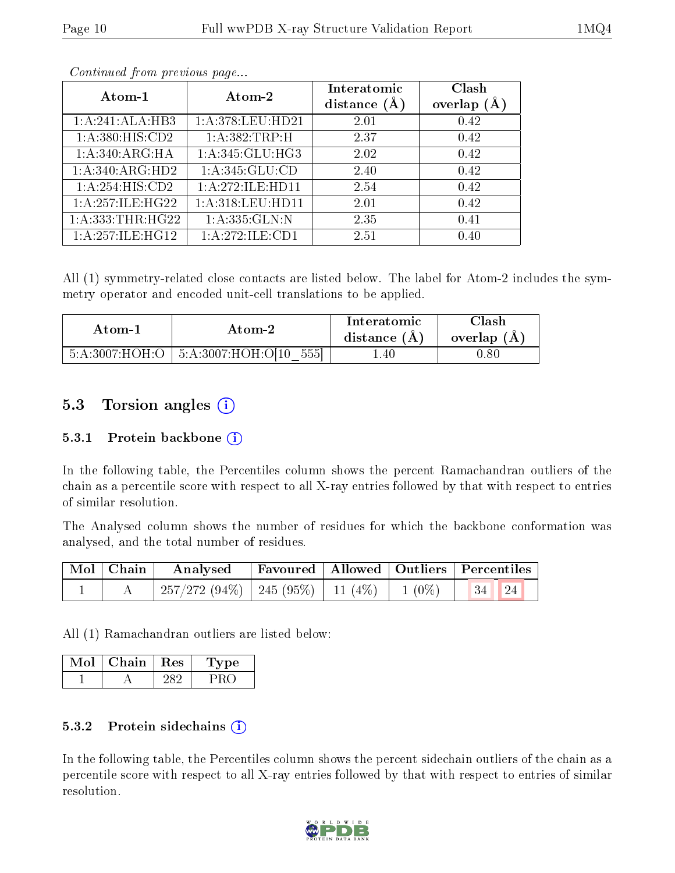|--|--|

| Atom-1              | Atom-2             | Interatomic<br>distance $(A)$ | Clash<br>overlap $(A)$ |
|---------------------|--------------------|-------------------------------|------------------------|
| 1:A:241:ALA:HB3     | 1: A:378:LEU:HD21  | 2.01                          | 0.42                   |
| 1:A:380:HIS:CD2     | 1:A:382:TRP:H      | 2.37                          | 0.42                   |
| 1: A:340: ARG: HA   | 1: A:345: GLU:HG3  | 2.02                          | 0.42                   |
| 1: A:340:ARG:HD2    | 1:A:345:GLU:CD     | 2.40                          | 0.42                   |
| 1:A:254:HIS:CD2     | 1:A:272:ILE:HD11   | 2.54                          | 0.42                   |
| 1: A:257: ILE: HG22 | 1:A:318:LEU:HD11   | 2.01                          | 0.42                   |
| 1:A:333:THR:HG22    | 1:A:335:GLN:N      | 2.35                          | 0.41                   |
| 1: A:257: ILE: HG12 | 1: A:272: ILE: CD1 | 2.51                          | 0.40                   |

Continued from previous page...

All (1) symmetry-related close contacts are listed below. The label for Atom-2 includes the symmetry operator and encoded unit-cell translations to be applied.

| Atom-1         | Atom-2                    | Interatomic<br>distance $(A)$ | $\mathrm{Class} \mathbf{h}$<br>overlap $(A)$ |
|----------------|---------------------------|-------------------------------|----------------------------------------------|
| 5:A:3007:HOH:O | 555<br>5:A:3007:HOH:O[10] | . .40 -                       | , 80                                         |

### 5.3 Torsion angles (i)

#### 5.3.1 Protein backbone  $(i)$

In the following table, the Percentiles column shows the percent Ramachandran outliers of the chain as a percentile score with respect to all X-ray entries followed by that with respect to entries of similar resolution.

The Analysed column shows the number of residues for which the backbone conformation was analysed, and the total number of residues.

| $\mid$ Mol $\mid$ Chain $\mid$ | Analysed Favoured   Allowed   Outliers   Percentiles                   |  |  |  |
|--------------------------------|------------------------------------------------------------------------|--|--|--|
|                                | $\frac{1}{257}/272$ (94\%)   245 (95\%)   11 (4\%)   1 (0\%)   34   24 |  |  |  |

All (1) Ramachandran outliers are listed below:

| Chain   Res | vpe |
|-------------|-----|
|             |     |

#### 5.3.2 Protein sidechains  $(i)$

In the following table, the Percentiles column shows the percent sidechain outliers of the chain as a percentile score with respect to all X-ray entries followed by that with respect to entries of similar resolution.

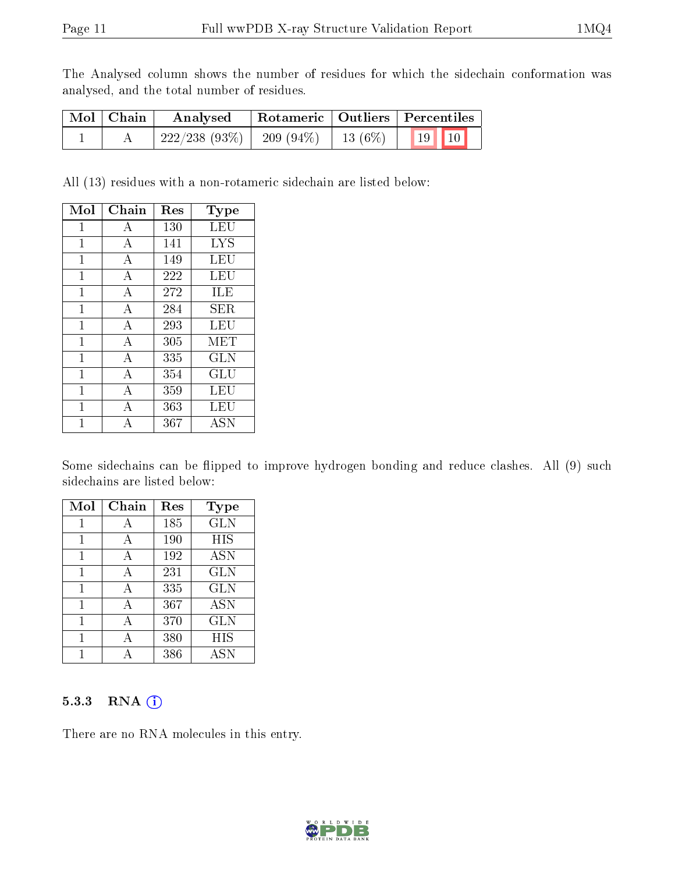The Analysed column shows the number of residues for which the sidechain conformation was analysed, and the total number of residues.

| $\mid$ Mol $\mid$ Chain | Analysed     |              |           | Rotameric   Outliers   Percentiles |
|-------------------------|--------------|--------------|-----------|------------------------------------|
|                         | 222/238(93%) | $-209(94\%)$ | $13(6\%)$ | $\vert$ 19 $\vert$ 10 $\vert$      |

All (13) residues with a non-rotameric sidechain are listed below:

| Mol          | Chain          | Res | Type                 |
|--------------|----------------|-----|----------------------|
| 1            | А              | 130 | LEU                  |
| $\mathbf{1}$ | A              | 141 | LYS                  |
| 1            | А              | 149 | LEU                  |
| 1            | А              | 222 | LEU                  |
| $\mathbf{1}$ | A              | 272 | ILE                  |
| 1            | А              | 284 | SER                  |
| 1            | А              | 293 | LEU                  |
| 1            | $\mathbf{A}$   | 305 | <b>MET</b>           |
| 1            | А              | 335 | GLN                  |
| 1            | A              | 354 | $\operatorname{GLU}$ |
| 1            | $\overline{A}$ | 359 | LEU                  |
| 1            | А              | 363 | LEU                  |
| 1            |                | 367 | ASN                  |

Some sidechains can be flipped to improve hydrogen bonding and reduce clashes. All (9) such sidechains are listed below:

| Mol | Chain | Res | Type       |
|-----|-------|-----|------------|
| 1   | А     | 185 | <b>GLN</b> |
| 1   | A     | 190 | HIS        |
| 1   | А     | 192 | <b>ASN</b> |
| 1   | A     | 231 | <b>GLN</b> |
| 1   | A     | 335 | <b>GLN</b> |
| 1   | A     | 367 | <b>ASN</b> |
| 1   | A     | 370 | <b>GLN</b> |
| 1   |       | 380 | HIS        |
|     |       | 386 | ASN        |

#### 5.3.3 RNA [O](https://www.wwpdb.org/validation/2017/XrayValidationReportHelp#rna)i

There are no RNA molecules in this entry.

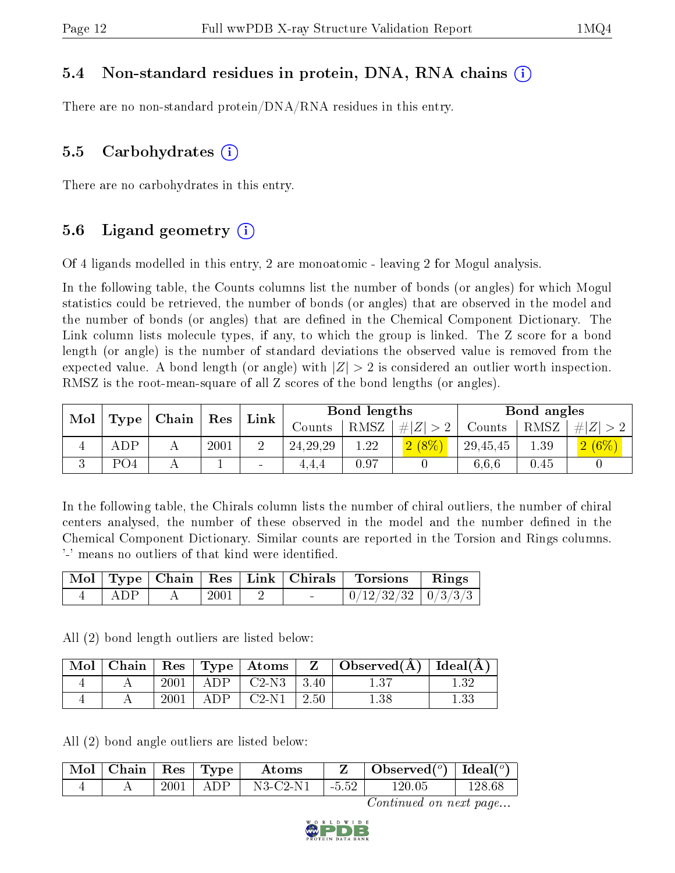### 5.4 Non-standard residues in protein, DNA, RNA chains (i)

There are no non-standard protein/DNA/RNA residues in this entry.

### 5.5 Carbohydrates (i)

There are no carbohydrates in this entry.

### 5.6 Ligand geometry  $(i)$

Of 4 ligands modelled in this entry, 2 are monoatomic - leaving 2 for Mogul analysis.

In the following table, the Counts columns list the number of bonds (or angles) for which Mogul statistics could be retrieved, the number of bonds (or angles) that are observed in the model and the number of bonds (or angles) that are dened in the Chemical Component Dictionary. The Link column lists molecule types, if any, to which the group is linked. The Z score for a bond length (or angle) is the number of standard deviations the observed value is removed from the expected value. A bond length (or angle) with  $|Z| > 2$  is considered an outlier worth inspection. RMSZ is the root-mean-square of all Z scores of the bond lengths (or angles).

| Mol<br>Chain<br>Type |                 |      | Res     |        | <b>Bond lengths</b> |          |          | Bond angles |      |               |
|----------------------|-----------------|------|---------|--------|---------------------|----------|----------|-------------|------|---------------|
|                      |                 | Link | Counts- | RMSZ   | $\# Z $<br>>2       | Counts   | RMSZ     | Z           |      |               |
|                      | ADP             |      | 2001    | ົ      | 24, 29, 29          | $1.22\,$ | $2(8\%)$ | 29,45,45    | 1.39 | $(6\%)$<br> 2 |
| v                    | PO <sub>4</sub> |      |         | $\sim$ | 4.4.4               | 0.97     |          | 6.6.6       | 0.45 |               |

In the following table, the Chirals column lists the number of chiral outliers, the number of chiral centers analysed, the number of these observed in the model and the number defined in the Chemical Component Dictionary. Similar counts are reported in the Torsion and Rings columns. '-' means no outliers of that kind were identified.

|     |      |        | Mol   Type   Chain   Res   Link   Chirals   Torsions   Rings |  |
|-----|------|--------|--------------------------------------------------------------|--|
| ADP | 2001 | $\sim$ | $\frac{0}{12/32/32}$ $\frac{0}{3/33}$                        |  |

All (2) bond length outliers are listed below:

| Mol | Chain |          |     | $\text{Res}$   $\text{Type}$   $\text{Atoms}$ | $\mathbf{Z}$  | Observed( $\AA$ )   Ideal( $\AA$ ) |  |
|-----|-------|----------|-----|-----------------------------------------------|---------------|------------------------------------|--|
|     |       | 2001     | ADP | $\mid$ C2-N3 $\mid$ 3.40                      |               |                                    |  |
|     |       | $2001\,$ | ADP | $C2-N1$                                       | $\sqrt{2.50}$ |                                    |  |

All (2) bond angle outliers are listed below:

| Mol   Chain |      | $\Box$ Res   Type $\Box$ | Atoms      |         | Observed( $^o$ )   Ideal( $^o$ ) |        |
|-------------|------|--------------------------|------------|---------|----------------------------------|--------|
|             | 2001 | A DP                     | $N3-C2-N1$ | $-5.52$ | 120.05                           | 128.68 |

Continued on next page...

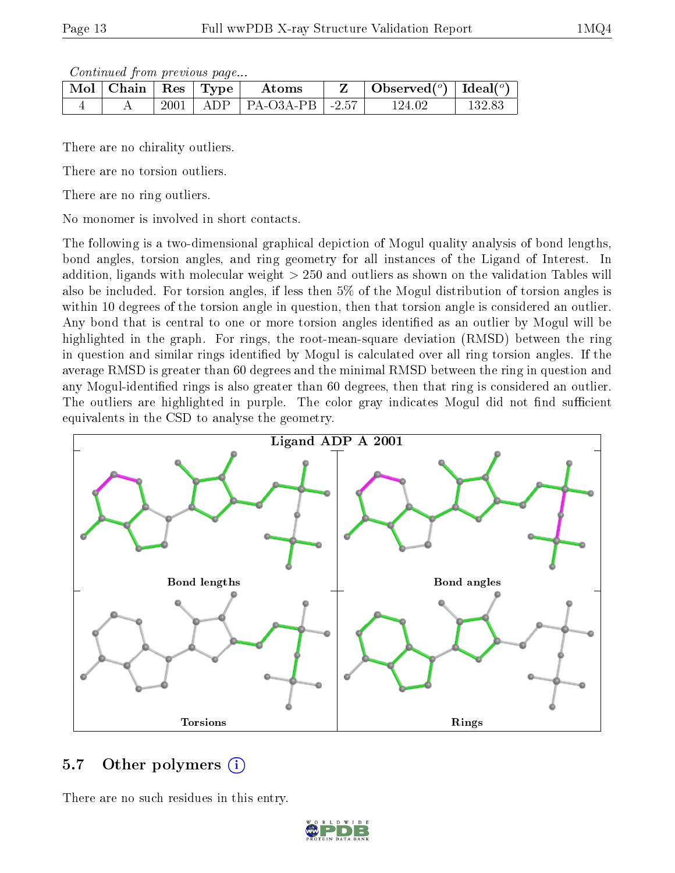Continued from previous page...

| $\sqrt{\text{Mol}\parallel\text{Chain}}\parallel\text{Res}\parallel\text{Type}\parallel$ |  | Atoms                            | Observed <sup>(<math>\circ</math>)</sup> [deal( $\circ$ ) |        |
|------------------------------------------------------------------------------------------|--|----------------------------------|-----------------------------------------------------------|--------|
|                                                                                          |  | $2001$   ADP   PA-O3A-PB   -2.57 | 124.02                                                    | 132.83 |

There are no chirality outliers.

There are no torsion outliers.

There are no ring outliers.

No monomer is involved in short contacts.

The following is a two-dimensional graphical depiction of Mogul quality analysis of bond lengths, bond angles, torsion angles, and ring geometry for all instances of the Ligand of Interest. In addition, ligands with molecular weight > 250 and outliers as shown on the validation Tables will also be included. For torsion angles, if less then 5% of the Mogul distribution of torsion angles is within 10 degrees of the torsion angle in question, then that torsion angle is considered an outlier. Any bond that is central to one or more torsion angles identified as an outlier by Mogul will be highlighted in the graph. For rings, the root-mean-square deviation (RMSD) between the ring in question and similar rings identified by Mogul is calculated over all ring torsion angles. If the average RMSD is greater than 60 degrees and the minimal RMSD between the ring in question and any Mogul-identied rings is also greater than 60 degrees, then that ring is considered an outlier. The outliers are highlighted in purple. The color gray indicates Mogul did not find sufficient equivalents in the CSD to analyse the geometry.



### 5.7 [O](https://www.wwpdb.org/validation/2017/XrayValidationReportHelp#nonstandard_residues_and_ligands)ther polymers  $(i)$

There are no such residues in this entry.

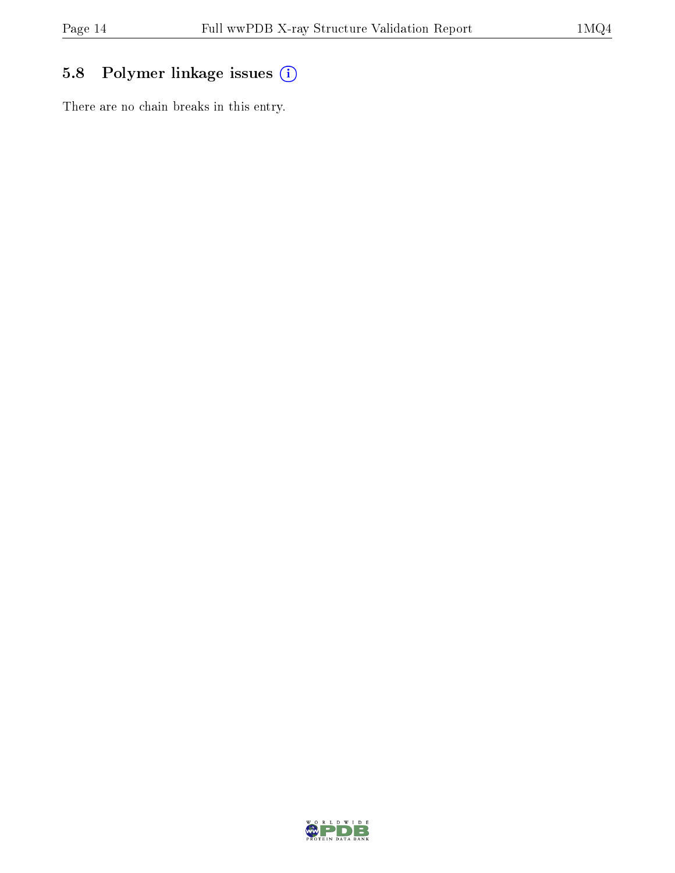## 5.8 Polymer linkage issues (i)

There are no chain breaks in this entry.